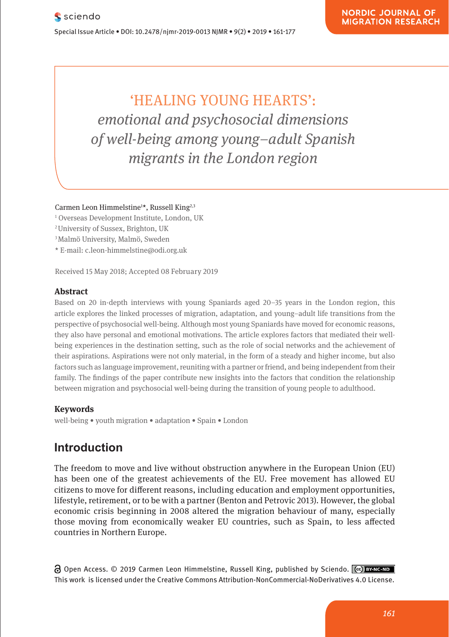'HEALING YOUNG HEARTS': *emotional and psychosocial dimensions of well-being among young–adult Spanish migrants in the London region*

Carmen Leon Himmelstine1 \*, Russell King2,3

- 1 Overseas Development Institute, London, UK
- 2 University of Sussex, Brighton, UK
- 3 Malmö University, Malmö, Sweden
- \* E-mail: c.leon-himmelstine@odi.org.uk

Received 15 May 2018; Accepted 08 February 2019

#### **Abstract**

Based on 20 in-depth interviews with young Spaniards aged 20–35 years in the London region, this article explores the linked processes of migration, adaptation, and young–adult life transitions from the perspective of psychosocial well-being. Although most young Spaniards have moved for economic reasons, they also have personal and emotional motivations. The article explores factors that mediated their wellbeing experiences in the destination setting, such as the role of social networks and the achievement of their aspirations. Aspirations were not only material, in the form of a steady and higher income, but also factors such as language improvement, reuniting with a partner or friend, and being independent from their family. The findings of the paper contribute new insights into the factors that condition the relationship between migration and psychosocial well-being during the transition of young people to adulthood.

#### **Keywords**

well-being • youth migration • adaptation • Spain • London

# **Introduction**

The freedom to move and live without obstruction anywhere in the European Union (EU) has been one of the greatest achievements of the EU. Free movement has allowed EU citizens to move for different reasons, including education and employment opportunities, lifestyle, retirement, or to be with a partner (Benton and Petrovic 2013). However, the global economic crisis beginning in 2008 altered the migration behaviour of many, especially those moving from economically weaker EU countries, such as Spain, to less affected countries in Northern Europe.

Open Access. © 2019 Carmen Leon Himmelstine, Russell King, published by Sciendo. This work is licensed under the Creative Commons Attribution-NonCommercial-NoDerivatives 4.0 License.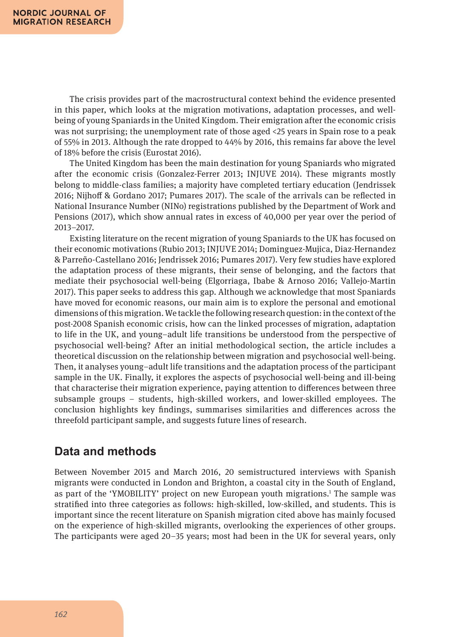The crisis provides part of the macrostructural context behind the evidence presented in this paper, which looks at the migration motivations, adaptation processes, and wellbeing of young Spaniards in the United Kingdom. Their emigration after the economic crisis was not surprising; the unemployment rate of those aged <25 years in Spain rose to a peak of 55% in 2013. Although the rate dropped to 44% by 2016, this remains far above the level of 18% before the crisis (Eurostat 2016).

The United Kingdom has been the main destination for young Spaniards who migrated after the economic crisis (Gonzalez-Ferrer 2013; INJUVE 2014). These migrants mostly belong to middle-class families; a majority have completed tertiary education (Jendrissek 2016; Nijhoff & Gordano 2017; Pumares 2017). The scale of the arrivals can be reflected in National Insurance Number (NINo) registrations published by the Department of Work and Pensions (2017), which show annual rates in excess of 40,000 per year over the period of 2013–2017.

Existing literature on the recent migration of young Spaniards to the UK has focused on their economic motivations (Rubio 2013; INJUVE 2014; Dominguez-Mujica, Diaz-Hernandez & Parreño-Castellano 2016; Jendrissek 2016; Pumares 2017). Very few studies have explored the adaptation process of these migrants, their sense of belonging, and the factors that mediate their psychosocial well-being (Elgorriaga, Ibabe & Arnoso 2016; Vallejo-Martin 2017). This paper seeks to address this gap. Although we acknowledge that most Spaniards have moved for economic reasons, our main aim is to explore the personal and emotional dimensions of this migration. We tackle the following research question: in the context of the post-2008 Spanish economic crisis, how can the linked processes of migration, adaptation to life in the UK, and young–adult life transitions be understood from the perspective of psychosocial well-being? After an initial methodological section, the article includes a theoretical discussion on the relationship between migration and psychosocial well-being. Then, it analyses young–adult life transitions and the adaptation process of the participant sample in the UK. Finally, it explores the aspects of psychosocial well-being and ill-being that characterise their migration experience, paying attention to differences between three subsample groups – students, high-skilled workers, and lower-skilled employees. The conclusion highlights key findings, summarises similarities and differences across the threefold participant sample, and suggests future lines of research.

### **Data and methods**

Between November 2015 and March 2016, 20 semistructured interviews with Spanish migrants were conducted in London and Brighton, a coastal city in the South of England, as part of the 'YMOBILITY' project on new European youth migrations.<sup>1</sup> The sample was stratified into three categories as follows: high-skilled, low-skilled, and students. This is important since the recent literature on Spanish migration cited above has mainly focused on the experience of high-skilled migrants, overlooking the experiences of other groups. The participants were aged 20–35 years; most had been in the UK for several years, only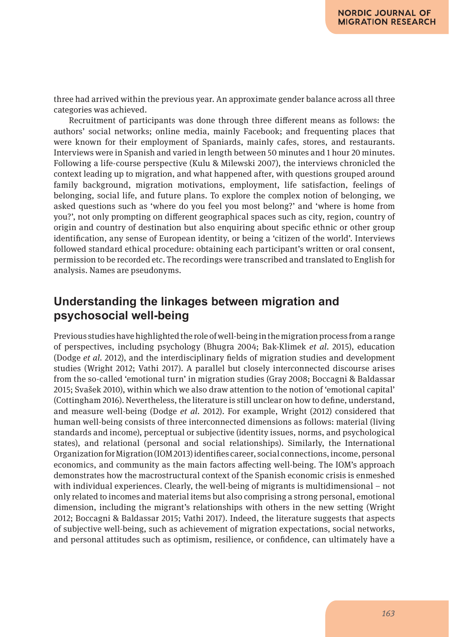three had arrived within the previous year. An approximate gender balance across all three categories was achieved.

Recruitment of participants was done through three different means as follows: the authors' social networks; online media, mainly Facebook; and frequenting places that were known for their employment of Spaniards, mainly cafes, stores, and restaurants. Interviews were in Spanish and varied in length between 50 minutes and 1 hour 20 minutes. Following a life-course perspective (Kulu & Milewski 2007), the interviews chronicled the context leading up to migration, and what happened after, with questions grouped around family background, migration motivations, employment, life satisfaction, feelings of belonging, social life, and future plans. To explore the complex notion of belonging, we asked questions such as 'where do you feel you most belong?' and 'where is home from you?', not only prompting on different geographical spaces such as city, region, country of origin and country of destination but also enquiring about specific ethnic or other group identification, any sense of European identity, or being a 'citizen of the world'. Interviews followed standard ethical procedure: obtaining each participant's written or oral consent, permission to be recorded etc. The recordings were transcribed and translated to English for analysis. Names are pseudonyms.

## **Understanding the linkages between migration and psychosocial well-being**

Previous studies have highlighted the role of well-being in the migration process from a range of perspectives, including psychology (Bhugra 2004; Bak-Klimek *et al*. 2015), education (Dodge *et al*. 2012), and the interdisciplinary fields of migration studies and development studies (Wright 2012; Vathi 2017). A parallel but closely interconnected discourse arises from the so-called 'emotional turn' in migration studies (Gray 2008; Boccagni & Baldassar 2015; Svašek 2010), within which we also draw attention to the notion of 'emotional capital' (Cottingham 2016). Nevertheless, the literature is still unclear on how to define, understand, and measure well-being (Dodge *et al*. 2012). For example, Wright (2012) considered that human well-being consists of three interconnected dimensions as follows: material (living standards and income), perceptual or subjective (identity issues, norms, and psychological states), and relational (personal and social relationships). Similarly, the International Organization for Migration (IOM 2013) identifies career, social connections, income, personal economics, and community as the main factors affecting well-being. The IOM's approach demonstrates how the macrostructural context of the Spanish economic crisis is enmeshed with individual experiences. Clearly, the well-being of migrants is multidimensional – not only related to incomes and material items but also comprising a strong personal, emotional dimension, including the migrant's relationships with others in the new setting (Wright 2012; Boccagni & Baldassar 2015; Vathi 2017). Indeed, the literature suggests that aspects of subjective well-being, such as achievement of migration expectations, social networks, and personal attitudes such as optimism, resilience, or confidence, can ultimately have a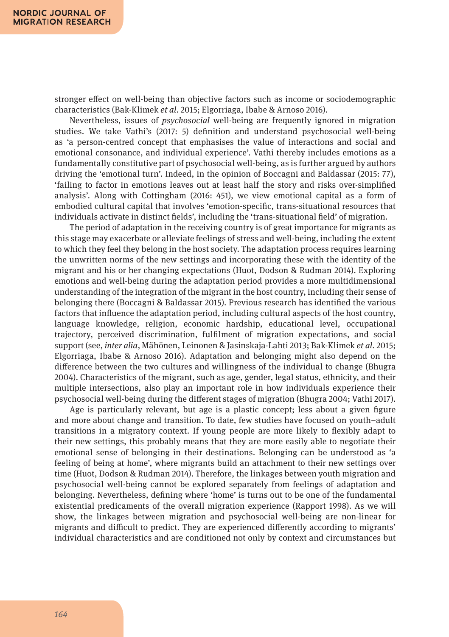stronger effect on well-being than objective factors such as income or sociodemographic characteristics (Bak-Klimek *et al*. 2015; Elgorriaga, Ibabe & Arnoso 2016).

Nevertheless, issues of *psychosocial* well-being are frequently ignored in migration studies. We take Vathi's (2017: 5) definition and understand psychosocial well-being as *'*a person-centred concept that emphasises the value of interactions and social and emotional consonance, and individual experience'. Vathi thereby includes emotions as a fundamentally constitutive part of psychosocial well-being, as is further argued by authors driving the 'emotional turn'. Indeed, in the opinion of Boccagni and Baldassar (2015: 77), 'failing to factor in emotions leaves out at least half the story and risks over-simplified analysis'. Along with Cottingham (2016: 451), we view emotional capital as a form of embodied cultural capital that involves 'emotion-specific, trans-situational resources that individuals activate in distinct fields', including the 'trans-situational field' of migration.

The period of adaptation in the receiving country is of great importance for migrants as this stage may exacerbate or alleviate feelings of stress and well-being, including the extent to which they feel they belong in the host society. The adaptation process requires learning the unwritten norms of the new settings and incorporating these with the identity of the migrant and his or her changing expectations (Huot, Dodson & Rudman 2014). Exploring emotions and well-being during the adaptation period provides a more multidimensional understanding of the integration of the migrant in the host country, including their sense of belonging there (Boccagni & Baldassar 2015). Previous research has identified the various factors that influence the adaptation period, including cultural aspects of the host country, language knowledge, religion, economic hardship, educational level, occupational trajectory, perceived discrimination, fulfilment of migration expectations, and social support (see, *inter alia*, Mähönen, Leinonen & Jasinskaja-Lahti 2013; Bak-Klimek *et al*. 2015; Elgorriaga, Ibabe & Arnoso 2016). Adaptation and belonging might also depend on the difference between the two cultures and willingness of the individual to change (Bhugra 2004). Characteristics of the migrant, such as age, gender, legal status, ethnicity, and their multiple intersections, also play an important role in how individuals experience their psychosocial well-being during the different stages of migration (Bhugra 2004; Vathi 2017).

Age is particularly relevant, but age is a plastic concept; less about a given figure and more about change and transition. To date, few studies have focused on youth–adult transitions in a migratory context. If young people are more likely to flexibly adapt to their new settings, this probably means that they are more easily able to negotiate their emotional sense of belonging in their destinations. Belonging can be understood as 'a feeling of being at home', where migrants build an attachment to their new settings over time (Huot, Dodson & Rudman 2014). Therefore, the linkages between youth migration and psychosocial well-being cannot be explored separately from feelings of adaptation and belonging. Nevertheless, defining where 'home' is turns out to be one of the fundamental existential predicaments of the overall migration experience (Rapport 1998). As we will show, the linkages between migration and psychosocial well-being are non-linear for migrants and difficult to predict. They are experienced differently according to migrants' individual characteristics and are conditioned not only by context and circumstances but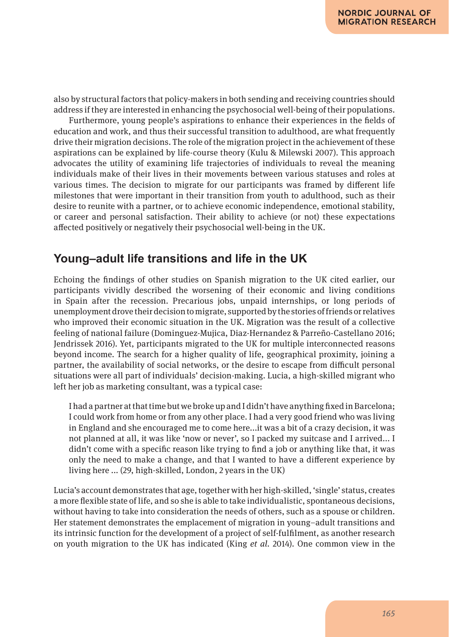also by structural factors that policy-makers in both sending and receiving countries should address if they are interested in enhancing the psychosocial well-being of their populations.

Furthermore, young people's aspirations to enhance their experiences in the fields of education and work, and thus their successful transition to adulthood, are what frequently drive their migration decisions. The role of the migration project in the achievement of these aspirations can be explained by life-course theory (Kulu & Milewski 2007). This approach advocates the utility of examining life trajectories of individuals to reveal the meaning individuals make of their lives in their movements between various statuses and roles at various times. The decision to migrate for our participants was framed by different life milestones that were important in their transition from youth to adulthood, such as their desire to reunite with a partner, or to achieve economic independence, emotional stability, or career and personal satisfaction. Their ability to achieve (or not) these expectations affected positively or negatively their psychosocial well-being in the UK.

## **Young–adult life transitions and life in the UK**

Echoing the findings of other studies on Spanish migration to the UK cited earlier, our participants vividly described the worsening of their economic and living conditions in Spain after the recession. Precarious jobs, unpaid internships, or long periods of unemployment drove their decision to migrate, supported by the stories of friends or relatives who improved their economic situation in the UK. Migration was the result of a collective feeling of national failure (Dominguez-Mujica, Diaz-Hernandez & Parreño-Castellano 2016; Jendrissek 2016). Yet, participants migrated to the UK for multiple interconnected reasons beyond income. The search for a higher quality of life, geographical proximity, joining a partner, the availability of social networks, or the desire to escape from difficult personal situations were all part of individuals' decision-making. Lucia, a high-skilled migrant who left her job as marketing consultant, was a typical case:

I had a partner at that time but we broke up and I didn't have anything fixed in Barcelona; I could work from home or from any other place. I had a very good friend who was living in England and she encouraged me to come here...it was a bit of a crazy decision, it was not planned at all, it was like 'now or never', so I packed my suitcase and I arrived... I didn't come with a specific reason like trying to find a job or anything like that, it was only the need to make a change, and that I wanted to have a different experience by living here ... (29, high-skilled, London, 2 years in the UK)

Lucia's account demonstrates that age, together with her high-skilled, 'single' status, creates a more flexible state of life, and so she is able to take individualistic, spontaneous decisions, without having to take into consideration the needs of others, such as a spouse or children. Her statement demonstrates the emplacement of migration in young–adult transitions and its intrinsic function for the development of a project of self-fulfilment, as another research on youth migration to the UK has indicated (King *et al*. 2014). One common view in the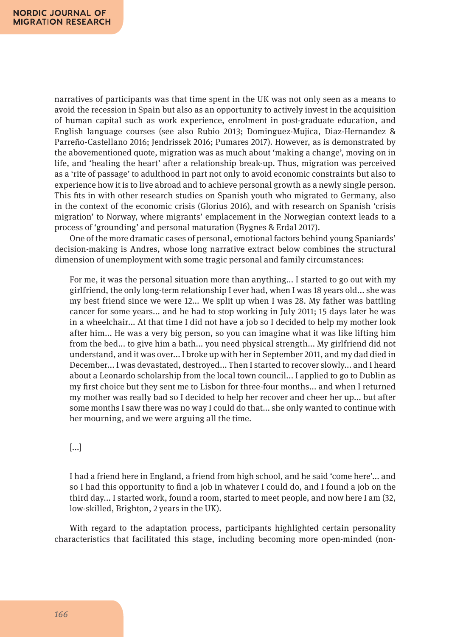narratives of participants was that time spent in the UK was not only seen as a means to avoid the recession in Spain but also as an opportunity to actively invest in the acquisition of human capital such as work experience, enrolment in post-graduate education, and English language courses (see also Rubio 2013; Dominguez-Mujica, Diaz-Hernandez & Parreño-Castellano 2016; Jendrissek 2016; Pumares 2017). However, as is demonstrated by the abovementioned quote, migration was as much about 'making a change', moving on in life, and 'healing the heart' after a relationship break-up. Thus, migration was perceived as a 'rite of passage' to adulthood in part not only to avoid economic constraints but also to experience how it is to live abroad and to achieve personal growth as a newly single person. This fits in with other research studies on Spanish youth who migrated to Germany, also in the context of the economic crisis (Glorius 2016), and with research on Spanish 'crisis migration' to Norway, where migrants' emplacement in the Norwegian context leads to a process of 'grounding' and personal maturation (Bygnes & Erdal 2017).

One of the more dramatic cases of personal, emotional factors behind young Spaniards' decision-making is Andres, whose long narrative extract below combines the structural dimension of unemployment with some tragic personal and family circumstances:

For me, it was the personal situation more than anything... I started to go out with my girlfriend, the only long-term relationship I ever had, when I was 18 years old... she was my best friend since we were 12... We split up when I was 28. My father was battling cancer for some years... and he had to stop working in July 2011; 15 days later he was in a wheelchair... At that time I did not have a job so I decided to help my mother look after him... He was a very big person, so you can imagine what it was like lifting him from the bed... to give him a bath... you need physical strength... My girlfriend did not understand, and it was over... I broke up with her in September 2011, and my dad died in December... I was devastated, destroyed... Then I started to recover slowly... and I heard about a Leonardo scholarship from the local town council... I applied to go to Dublin as my first choice but they sent me to Lisbon for three-four months... and when I returned my mother was really bad so I decided to help her recover and cheer her up... but after some months I saw there was no way I could do that... she only wanted to continue with her mourning, and we were arguing all the time.

#### [...]

I had a friend here in England, a friend from high school, and he said 'come here'... and so I had this opportunity to find a job in whatever I could do, and I found a job on the third day... I started work, found a room, started to meet people, and now here I am (32, low-skilled, Brighton, 2 years in the UK).

With regard to the adaptation process, participants highlighted certain personality characteristics that facilitated this stage, including becoming more open-minded (non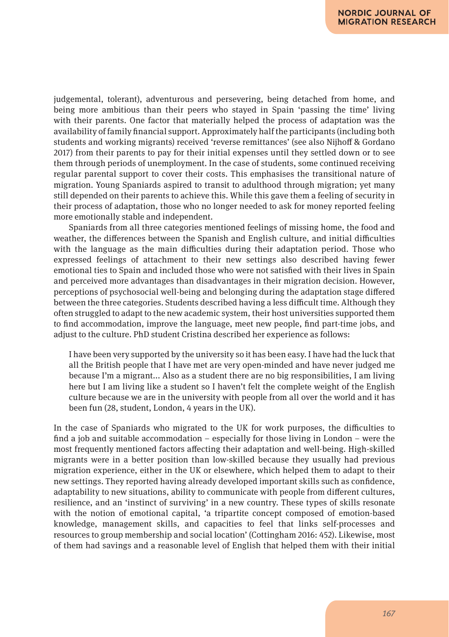judgemental, tolerant), adventurous and persevering, being detached from home, and being more ambitious than their peers who stayed in Spain 'passing the time' living with their parents. One factor that materially helped the process of adaptation was the availability of family financial support. Approximately half the participants (including both students and working migrants) received 'reverse remittances' (see also Nijhoff & Gordano 2017) from their parents to pay for their initial expenses until they settled down or to see them through periods of unemployment. In the case of students, some continued receiving regular parental support to cover their costs. This emphasises the transitional nature of migration. Young Spaniards aspired to transit to adulthood through migration; yet many still depended on their parents to achieve this. While this gave them a feeling of security in their process of adaptation, those who no longer needed to ask for money reported feeling more emotionally stable and independent.

Spaniards from all three categories mentioned feelings of missing home, the food and weather, the differences between the Spanish and English culture, and initial difficulties with the language as the main difficulties during their adaptation period. Those who expressed feelings of attachment to their new settings also described having fewer emotional ties to Spain and included those who were not satisfied with their lives in Spain and perceived more advantages than disadvantages in their migration decision. However, perceptions of psychosocial well-being and belonging during the adaptation stage differed between the three categories. Students described having a less difficult time. Although they often struggled to adapt to the new academic system, their host universities supported them to find accommodation, improve the language, meet new people, find part-time jobs, and adjust to the culture. PhD student Cristina described her experience as follows:

I have been very supported by the university so it has been easy. I have had the luck that all the British people that I have met are very open-minded and have never judged me because I'm a migrant... Also as a student there are no big responsibilities, I am living here but I am living like a student so I haven't felt the complete weight of the English culture because we are in the university with people from all over the world and it has been fun (28, student, London, 4 years in the UK).

In the case of Spaniards who migrated to the UK for work purposes, the difficulties to find a job and suitable accommodation – especially for those living in London – were the most frequently mentioned factors affecting their adaptation and well-being. High-skilled migrants were in a better position than low-skilled because they usually had previous migration experience, either in the UK or elsewhere, which helped them to adapt to their new settings. They reported having already developed important skills such as confidence, adaptability to new situations, ability to communicate with people from different cultures, resilience, and an 'instinct of surviving' in a new country. These types of skills resonate with the notion of emotional capital, 'a tripartite concept composed of emotion-based knowledge, management skills, and capacities to feel that links self-processes and resources to group membership and social location' (Cottingham 2016: 452). Likewise, most of them had savings and a reasonable level of English that helped them with their initial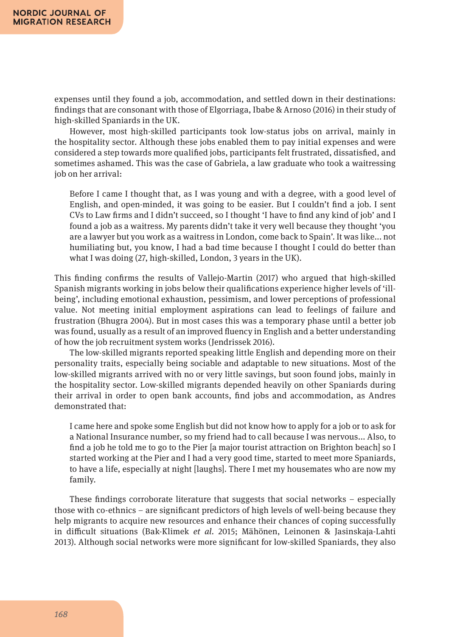expenses until they found a job, accommodation, and settled down in their destinations: findings that are consonant with those of Elgorriaga, Ibabe & Arnoso (2016) in their study of high-skilled Spaniards in the UK.

However, most high-skilled participants took low-status jobs on arrival, mainly in the hospitality sector. Although these jobs enabled them to pay initial expenses and were considered a step towards more qualified jobs, participants felt frustrated, dissatisfied, and sometimes ashamed. This was the case of Gabriela, a law graduate who took a waitressing job on her arrival:

Before I came I thought that, as I was young and with a degree, with a good level of English, and open-minded, it was going to be easier. But I couldn't find a job. I sent CVs to Law firms and I didn't succeed, so I thought 'I have to find any kind of job' and I found a job as a waitress. My parents didn't take it very well because they thought 'you are a lawyer but you work as a waitress in London, come back to Spain'. It was like... not humiliating but, you know, I had a bad time because I thought I could do better than what I was doing (27, high-skilled, London, 3 years in the UK).

This finding confirms the results of Vallejo-Martin (2017) who argued that high-skilled Spanish migrants working in jobs below their qualifications experience higher levels of 'illbeing', including emotional exhaustion, pessimism, and lower perceptions of professional value. Not meeting initial employment aspirations can lead to feelings of failure and frustration (Bhugra 2004). But in most cases this was a temporary phase until a better job was found, usually as a result of an improved fluency in English and a better understanding of how the job recruitment system works (Jendrissek 2016).

The low-skilled migrants reported speaking little English and depending more on their personality traits, especially being sociable and adaptable to new situations. Most of the low-skilled migrants arrived with no or very little savings, but soon found jobs, mainly in the hospitality sector. Low-skilled migrants depended heavily on other Spaniards during their arrival in order to open bank accounts, find jobs and accommodation, as Andres demonstrated that:

I came here and spoke some English but did not know how to apply for a job or to ask for a National Insurance number, so my friend had to call because I was nervous... Also, to find a job he told me to go to the Pier [a major tourist attraction on Brighton beach] so I started working at the Pier and I had a very good time, started to meet more Spaniards, to have a life, especially at night [laughs]. There I met my housemates who are now my family.

These findings corroborate literature that suggests that social networks – especially those with co-ethnics – are significant predictors of high levels of well-being because they help migrants to acquire new resources and enhance their chances of coping successfully in difficult situations (Bak-Klimek *et al*. 2015; Mähönen, Leinonen & Jasinskaja-Lahti 2013). Although social networks were more significant for low-skilled Spaniards, they also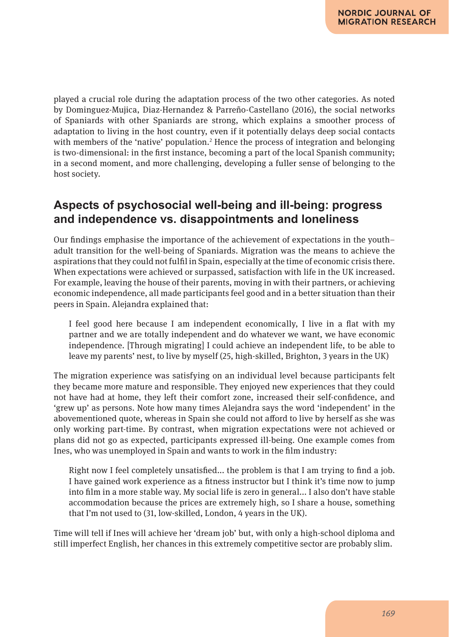played a crucial role during the adaptation process of the two other categories. As noted by Dominguez-Mujica, Diaz-Hernandez & Parreño-Castellano (2016), the social networks of Spaniards with other Spaniards are strong, which explains a smoother process of adaptation to living in the host country, even if it potentially delays deep social contacts with members of the 'native' population.<sup>2</sup> Hence the process of integration and belonging is two-dimensional: in the first instance, becoming a part of the local Spanish community; in a second moment, and more challenging, developing a fuller sense of belonging to the host society.

## **Aspects of psychosocial well-being and ill-being: progress and independence vs. disappointments and loneliness**

Our findings emphasise the importance of the achievement of expectations in the youth– adult transition for the well-being of Spaniards. Migration was the means to achieve the aspirations that they could not fulfil in Spain, especially at the time of economic crisis there. When expectations were achieved or surpassed, satisfaction with life in the UK increased. For example, leaving the house of their parents, moving in with their partners, or achieving economic independence, all made participants feel good and in a better situation than their peers in Spain. Alejandra explained that:

I feel good here because I am independent economically, I live in a flat with my partner and we are totally independent and do whatever we want, we have economic independence. [Through migrating] I could achieve an independent life, to be able to leave my parents' nest, to live by myself (25, high-skilled, Brighton, 3 years in the UK)

The migration experience was satisfying on an individual level because participants felt they became more mature and responsible. They enjoyed new experiences that they could not have had at home, they left their comfort zone, increased their self-confidence, and 'grew up' as persons. Note how many times Alejandra says the word 'independent' in the abovementioned quote, whereas in Spain she could not afford to live by herself as she was only working part-time. By contrast, when migration expectations were not achieved or plans did not go as expected, participants expressed ill-being. One example comes from Ines, who was unemployed in Spain and wants to work in the film industry:

Right now I feel completely unsatisfied... the problem is that I am trying to find a job. I have gained work experience as a fitness instructor but I think it's time now to jump into film in a more stable way. My social life is zero in general... I also don't have stable accommodation because the prices are extremely high, so I share a house, something that I'm not used to (31, low-skilled, London, 4 years in the UK).

Time will tell if Ines will achieve her 'dream job' but, with only a high-school diploma and still imperfect English, her chances in this extremely competitive sector are probably slim.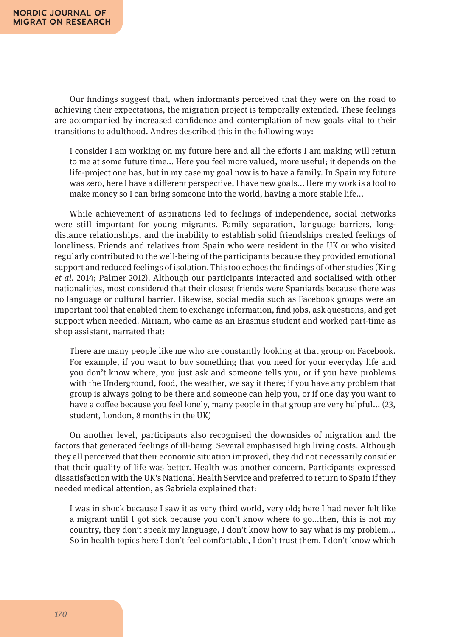Our findings suggest that, when informants perceived that they were on the road to achieving their expectations, the migration project is temporally extended. These feelings are accompanied by increased confidence and contemplation of new goals vital to their transitions to adulthood. Andres described this in the following way:

I consider I am working on my future here and all the efforts I am making will return to me at some future time... Here you feel more valued, more useful; it depends on the life-project one has, but in my case my goal now is to have a family. In Spain my future was zero, here I have a different perspective, I have new goals... Here my work is a tool to make money so I can bring someone into the world, having a more stable life...

While achievement of aspirations led to feelings of independence, social networks were still important for young migrants. Family separation, language barriers, longdistance relationships, and the inability to establish solid friendships created feelings of loneliness. Friends and relatives from Spain who were resident in the UK or who visited regularly contributed to the well-being of the participants because they provided emotional support and reduced feelings of isolation. This too echoes the findings of other studies (King *et al*. 2014; Palmer 2012). Although our participants interacted and socialised with other nationalities, most considered that their closest friends were Spaniards because there was no language or cultural barrier. Likewise, social media such as Facebook groups were an important tool that enabled them to exchange information, find jobs, ask questions, and get support when needed. Miriam, who came as an Erasmus student and worked part-time as shop assistant, narrated that:

There are many people like me who are constantly looking at that group on Facebook. For example, if you want to buy something that you need for your everyday life and you don't know where, you just ask and someone tells you, or if you have problems with the Underground, food, the weather, we say it there; if you have any problem that group is always going to be there and someone can help you, or if one day you want to have a coffee because you feel lonely, many people in that group are very helpful... (23, student, London, 8 months in the UK)

On another level, participants also recognised the downsides of migration and the factors that generated feelings of ill-being. Several emphasised high living costs. Although they all perceived that their economic situation improved, they did not necessarily consider that their quality of life was better. Health was another concern. Participants expressed dissatisfaction with the UK's National Health Service and preferred to return to Spain if they needed medical attention, as Gabriela explained that:

I was in shock because I saw it as very third world, very old; here I had never felt like a migrant until I got sick because you don't know where to go...then, this is not my country, they don't speak my language, I don't know how to say what is my problem... So in health topics here I don't feel comfortable, I don't trust them, I don't know which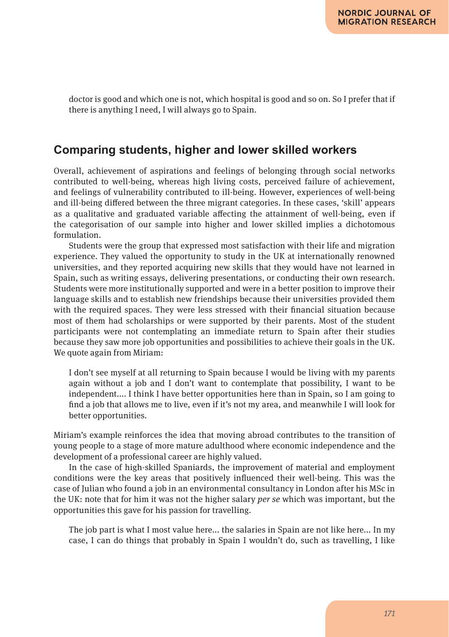doctor is good and which one is not, which hospital is good and so on. So I prefer that if there is anything I need, I will always go to Spain.

## **Comparing students, higher and lower skilled workers**

Overall, achievement of aspirations and feelings of belonging through social networks contributed to well-being, whereas high living costs, perceived failure of achievement, and feelings of vulnerability contributed to ill-being. However, experiences of well-being and ill-being differed between the three migrant categories. In these cases, 'skill' appears as a qualitative and graduated variable affecting the attainment of well-being, even if the categorisation of our sample into higher and lower skilled implies a dichotomous formulation.

Students were the group that expressed most satisfaction with their life and migration experience. They valued the opportunity to study in the UK at internationally renowned universities, and they reported acquiring new skills that they would have not learned in Spain, such as writing essays, delivering presentations, or conducting their own research. Students were more institutionally supported and were in a better position to improve their language skills and to establish new friendships because their universities provided them with the required spaces. They were less stressed with their financial situation because most of them had scholarships or were supported by their parents. Most of the student participants were not contemplating an immediate return to Spain after their studies because they saw more job opportunities and possibilities to achieve their goals in the UK. We quote again from Miriam:

I don't see myself at all returning to Spain because I would be living with my parents again without a job and I don't want to contemplate that possibility, I want to be independent.... I think I have better opportunities here than in Spain, so I am going to find a job that allows me to live, even if it's not my area, and meanwhile I will look for better opportunities.

Miriam's example reinforces the idea that moving abroad contributes to the transition of young people to a stage of more mature adulthood where economic independence and the development of a professional career are highly valued.

In the case of high-skilled Spaniards, the improvement of material and employment conditions were the key areas that positively influenced their well-being. This was the case of Julian who found a job in an environmental consultancy in London after his MSc in the UK: note that for him it was not the higher salary *per se* which was important, but the opportunities this gave for his passion for travelling.

The job part is what I most value here... the salaries in Spain are not like here... In my case, I can do things that probably in Spain I wouldn't do, such as travelling, I like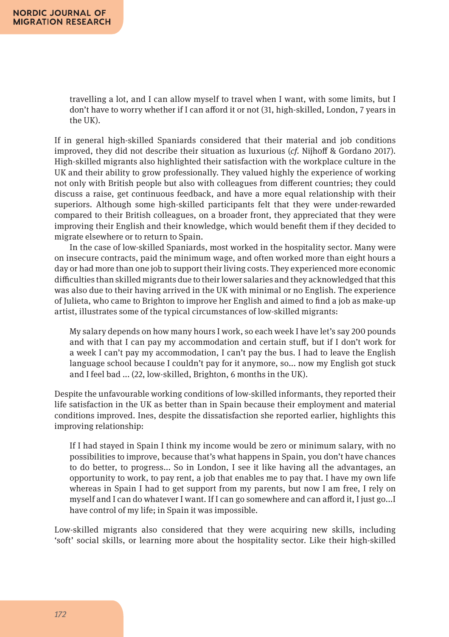travelling a lot, and I can allow myself to travel when I want, with some limits, but I don't have to worry whether if I can afford it or not (31, high-skilled, London, 7 years in the UK).

If in general high-skilled Spaniards considered that their material and job conditions improved, they did not describe their situation as luxurious (*cf.* Nijhoff & Gordano 2017). High-skilled migrants also highlighted their satisfaction with the workplace culture in the UK and their ability to grow professionally. They valued highly the experience of working not only with British people but also with colleagues from different countries; they could discuss a raise, get continuous feedback, and have a more equal relationship with their superiors. Although some high-skilled participants felt that they were under-rewarded compared to their British colleagues, on a broader front, they appreciated that they were improving their English and their knowledge, which would benefit them if they decided to migrate elsewhere or to return to Spain.

In the case of low-skilled Spaniards, most worked in the hospitality sector. Many were on insecure contracts, paid the minimum wage, and often worked more than eight hours a day or had more than one job to support their living costs. They experienced more economic difficulties than skilled migrants due to their lower salaries and they acknowledged that this was also due to their having arrived in the UK with minimal or no English. The experience of Julieta, who came to Brighton to improve her English and aimed to find a job as make-up artist, illustrates some of the typical circumstances of low-skilled migrants:

My salary depends on how many hours I work, so each week I have let's say 200 pounds and with that I can pay my accommodation and certain stuff, but if I don't work for a week I can't pay my accommodation, I can't pay the bus. I had to leave the English language school because I couldn't pay for it anymore, so... now my English got stuck and I feel bad ... (22, low-skilled, Brighton, 6 months in the UK).

Despite the unfavourable working conditions of low-skilled informants, they reported their life satisfaction in the UK as better than in Spain because their employment and material conditions improved. Ines, despite the dissatisfaction she reported earlier, highlights this improving relationship:

If I had stayed in Spain I think my income would be zero or minimum salary, with no possibilities to improve, because that's what happens in Spain, you don't have chances to do better, to progress... So in London, I see it like having all the advantages, an opportunity to work, to pay rent, a job that enables me to pay that. I have my own life whereas in Spain I had to get support from my parents, but now I am free, I rely on myself and I can do whatever I want. If I can go somewhere and can afford it, I just go...I have control of my life; in Spain it was impossible.

Low-skilled migrants also considered that they were acquiring new skills, including 'soft' social skills, or learning more about the hospitality sector. Like their high-skilled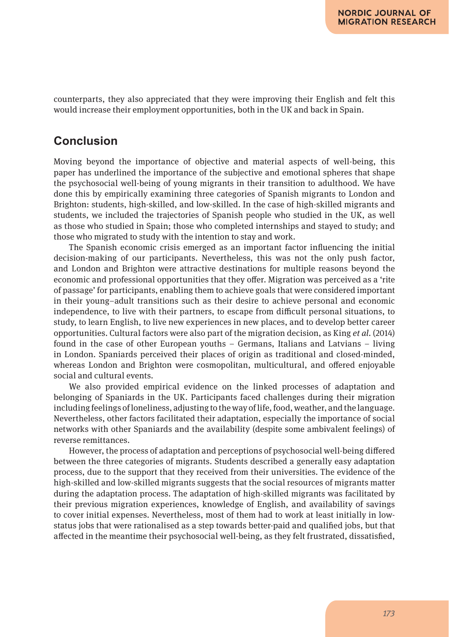counterparts, they also appreciated that they were improving their English and felt this would increase their employment opportunities, both in the UK and back in Spain.

## **Conclusion**

Moving beyond the importance of objective and material aspects of well-being, this paper has underlined the importance of the subjective and emotional spheres that shape the psychosocial well-being of young migrants in their transition to adulthood. We have done this by empirically examining three categories of Spanish migrants to London and Brighton: students, high-skilled, and low-skilled. In the case of high-skilled migrants and students, we included the trajectories of Spanish people who studied in the UK, as well as those who studied in Spain; those who completed internships and stayed to study; and those who migrated to study with the intention to stay and work.

The Spanish economic crisis emerged as an important factor influencing the initial decision-making of our participants. Nevertheless, this was not the only push factor, and London and Brighton were attractive destinations for multiple reasons beyond the economic and professional opportunities that they offer. Migration was perceived as a 'rite of passage' for participants, enabling them to achieve goals that were considered important in their young–adult transitions such as their desire to achieve personal and economic independence, to live with their partners, to escape from difficult personal situations, to study, to learn English, to live new experiences in new places, and to develop better career opportunities. Cultural factors were also part of the migration decision, as King *et al*. (2014) found in the case of other European youths – Germans, Italians and Latvians – living in London. Spaniards perceived their places of origin as traditional and closed-minded, whereas London and Brighton were cosmopolitan, multicultural, and offered enjoyable social and cultural events.

We also provided empirical evidence on the linked processes of adaptation and belonging of Spaniards in the UK. Participants faced challenges during their migration including feelings of loneliness, adjusting to the way of life, food, weather, and the language. Nevertheless, other factors facilitated their adaptation, especially the importance of social networks with other Spaniards and the availability (despite some ambivalent feelings) of reverse remittances.

However, the process of adaptation and perceptions of psychosocial well-being differed between the three categories of migrants. Students described a generally easy adaptation process, due to the support that they received from their universities. The evidence of the high-skilled and low-skilled migrants suggests that the social resources of migrants matter during the adaptation process. The adaptation of high-skilled migrants was facilitated by their previous migration experiences, knowledge of English, and availability of savings to cover initial expenses. Nevertheless, most of them had to work at least initially in lowstatus jobs that were rationalised as a step towards better-paid and qualified jobs, but that affected in the meantime their psychosocial well-being, as they felt frustrated, dissatisfied,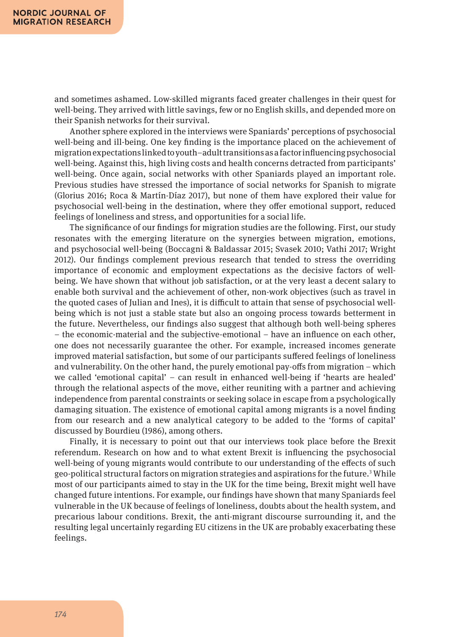and sometimes ashamed. Low-skilled migrants faced greater challenges in their quest for well-being. They arrived with little savings, few or no English skills, and depended more on their Spanish networks for their survival.

Another sphere explored in the interviews were Spaniards' perceptions of psychosocial well-being and ill-being. One key finding is the importance placed on the achievement of migration expectations linked to youth–adult transitions as a factor influencing psychosocial well-being. Against this, high living costs and health concerns detracted from participants' well-being. Once again, social networks with other Spaniards played an important role. Previous studies have stressed the importance of social networks for Spanish to migrate (Glorius 2016; Roca & Martín-Díaz 2017), but none of them have explored their value for psychosocial well-being in the destination, where they offer emotional support, reduced feelings of loneliness and stress, and opportunities for a social life.

The significance of our findings for migration studies are the following. First, our study resonates with the emerging literature on the synergies between migration, emotions, and psychosocial well-being (Boccagni & Baldassar 2015; Svasek 2010; Vathi 2017; Wright 2012). Our findings complement previous research that tended to stress the overriding importance of economic and employment expectations as the decisive factors of wellbeing. We have shown that without job satisfaction, or at the very least a decent salary to enable both survival and the achievement of other, non-work objectives (such as travel in the quoted cases of Julian and Ines), it is difficult to attain that sense of psychosocial wellbeing which is not just a stable state but also an ongoing process towards betterment in the future. Nevertheless, our findings also suggest that although both well-being spheres – the economic-material and the subjective-emotional – have an influence on each other, one does not necessarily guarantee the other. For example, increased incomes generate improved material satisfaction, but some of our participants suffered feelings of loneliness and vulnerability. On the other hand, the purely emotional pay-offs from migration – which we called 'emotional capital' – can result in enhanced well-being if 'hearts are healed' through the relational aspects of the move, either reuniting with a partner and achieving independence from parental constraints or seeking solace in escape from a psychologically damaging situation. The existence of emotional capital among migrants is a novel finding from our research and a new analytical category to be added to the 'forms of capital' discussed by Bourdieu (1986), among others.

Finally, it is necessary to point out that our interviews took place before the Brexit referendum. Research on how and to what extent Brexit is influencing the psychosocial well-being of young migrants would contribute to our understanding of the effects of such geo-political structural factors on migration strategies and aspirations for the future. $^3$  While most of our participants aimed to stay in the UK for the time being, Brexit might well have changed future intentions. For example, our findings have shown that many Spaniards feel vulnerable in the UK because of feelings of loneliness, doubts about the health system, and precarious labour conditions. Brexit, the anti-migrant discourse surrounding it, and the resulting legal uncertainly regarding EU citizens in the UK are probably exacerbating these feelings.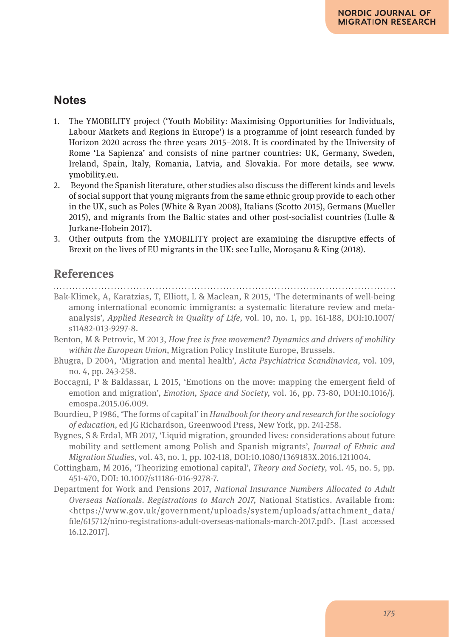## **Notes**

- 1. The YMOBILITY project ('Youth Mobility: Maximising Opportunities for Individuals, Labour Markets and Regions in Europe') is a programme of joint research funded by Horizon 2020 across the three years 2015–2018. It is coordinated by the University of Rome 'La Sapienza' and consists of nine partner countries: UK, Germany, Sweden, Ireland, Spain, Italy, Romania, Latvia, and Slovakia. For more details, see www. ymobility.eu.
- 2. Beyond the Spanish literature, other studies also discuss the different kinds and levels of social support that young migrants from the same ethnic group provide to each other in the UK, such as Poles (White & Ryan 2008), Italians (Scotto 2015), Germans (Mueller 2015), and migrants from the Baltic states and other post-socialist countries (Lulle & Jurkane-Hobein 2017).
- 3. Other outputs from the YMOBILITY project are examining the disruptive effects of Brexit on the lives of EU migrants in the UK: see Lulle, Moroşanu & King (2018).

## **References**

#### 

- Bak-Klimek, A, Karatzias, T, Elliott, L & Maclean, R 2015, 'The determinants of well-being among international economic immigrants: a systematic literature review and metaanalysis', *Applied Research in Quality of Life,* vol. 10, no. 1, pp. 161-188, DOI:10.1007/ s11482-013-9297-8.
- Benton, M & Petrovic, M 2013, *How free is free movement? Dynamics and drivers of mobility within the European Union*, Migration Policy Institute Europe, Brussels.
- Bhugra, D 2004, 'Migration and mental health', *Acta Psychiatrica Scandinavica,* vol. 109, no. 4, pp. 243-258.
- Boccagni, P & Baldassar, L 2015, 'Emotions on the move: mapping the emergent field of emotion and migration', *Emotion, Space and Society,* vol. 16, pp. 73-80, DOI:10.1016/j. emospa.2015.06.009.
- Bourdieu, P 1986, 'The forms of capital' in *Handbook for theory and research for the sociology of education,* ed JG Richardson, Greenwood Press, New York, pp. 241-258.
- Bygnes, S & Erdal, MB 2017, 'Liquid migration, grounded lives: considerations about future mobility and settlement among Polish and Spanish migrants', *Journal of Ethnic and Migration Studies,* vol. 43, no. 1, pp. 102-118, DOI:10.1080/1369183X.2016.1211004.
- Cottingham, M 2016, 'Theorizing emotional capital', *Theory and Society*, vol. 45, no. 5, pp. 451-470, DOI: 10.1007/s11186-016-9278-7.
- Department for Work and Pensions 2017, *National Insurance Numbers Allocated to Adult Overseas Nationals. Registrations to March 2017,* National Statistics. Available from: <https://www.gov.uk/government/uploads/system/uploads/attachment\_data/ file/615712/nino-registrations-adult-overseas-nationals-march-2017.pdf>. [Last accessed 16.12.2017].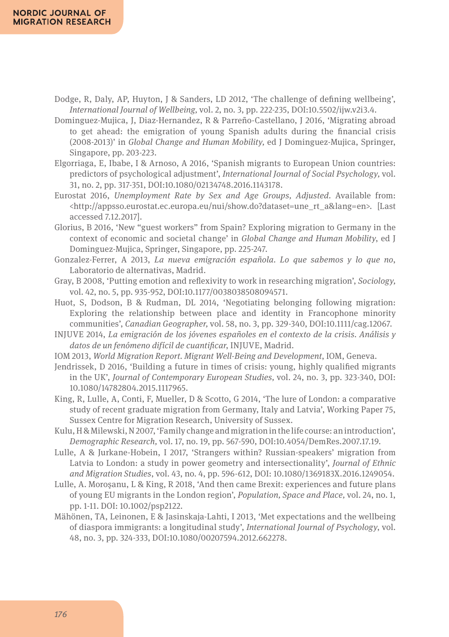- Dodge, R, Daly, AP, Huyton, J & Sanders, LD 2012, 'The challenge of defining wellbeing', *International Journal of Wellbeing,* vol. 2, no. 3, pp. 222-235, DOI:10.5502/ijw.v2i3.4.
- Dominguez-Mujica, J, Diaz-Hernandez, R & Parreño-Castellano, J 2016, 'Migrating abroad to get ahead: the emigration of young Spanish adults during the financial crisis (2008-2013)' in *Global Change and Human Mobility,* ed J Dominguez-Mujica, Springer, Singapore, pp. 203-223.
- Elgorriaga, E, Ibabe, I & Arnoso, A 2016, 'Spanish migrants to European Union countries: predictors of psychological adjustment', *International Journal of Social Psychology,* vol. 31, no. 2, pp. 317-351, DOI:10.1080/02134748.2016.1143178.
- Eurostat 2016, *Unemployment Rate by Sex and Age Groups, Adjusted.* Available from: <http://appsso.eurostat.ec.europa.eu/nui/show.do?dataset=une\_rt\_a&lang=en>. [Last accessed 7.12.2017].
- Glorius, B 2016, 'New "guest workers" from Spain? Exploring migration to Germany in the context of economic and societal change' in *Global Change and Human Mobility*, ed J Dominguez-Mujica, Springer, Singapore, pp. 225-247.
- Gonzalez-Ferrer, A 2013, *La nueva emigración española. Lo que sabemos y lo que no*, Laboratorio de alternativas, Madrid.
- Gray, B 2008, 'Putting emotion and reflexivity to work in researching migration', *Sociology,* vol. 42, no. 5, pp. 935-952, DOI:10.1177/0038038508094571.
- Huot, S, Dodson, B & Rudman, DL 2014, 'Negotiating belonging following migration: Exploring the relationship between place and identity in Francophone minority communities', *Canadian Geographer,* vol. 58, no. 3, pp. 329-340, DOI:10.1111/cag.12067.
- INJUVE 2014, *La emigración de los jóvenes españoles en el contexto de la crisis. Análisis y datos de un fenómeno difícil de cuantificar*, INJUVE, Madrid.
- IOM 2013, *World Migration Report. Migrant Well-Being and Development*, IOM, Geneva.
- Jendrissek, D 2016, 'Building a future in times of crisis: young, highly qualified migrants in the UK', *Journal of Contemporary European Studies,* vol. 24, no. 3, pp. 323-340, DOI: 10.1080/14782804.2015.1117965.
- King, R, Lulle, A, Conti, F, Mueller, D & Scotto, G 2014, 'The lure of London: a comparative study of recent graduate migration from Germany, Italy and Latvia', Working Paper 75, Sussex Centre for Migration Research, University of Sussex.
- Kulu, H & Milewski, N 2007, 'Family change and migration in the life course: an introduction', *Demographic Research,* vol. 17, no. 19, pp. 567-590, DOI:10.4054/DemRes.2007.17.19.
- Lulle, A & Jurkane-Hobein, I 2017, 'Strangers within? Russian-speakers' migration from Latvia to London: a study in power geometry and intersectionality', *Journal of Ethnic and Migration Studies*, vol. 43, no. 4, pp. 596-612, DOI: 10.1080/1369183X.2016.1249054.
- Lulle, A. Moroşanu, L & King, R 2018, 'And then came Brexit: experiences and future plans of young EU migrants in the London region', *Population, Space and Place,* vol. 24, no. 1, pp. 1-11. DOI: 10.1002/psp2122.
- Mähönen, TA, Leinonen, E & Jasinskaja‐Lahti, I 2013, 'Met expectations and the wellbeing of diaspora immigrants: a longitudinal study', *International Journal of Psychology*, vol. 48, no. 3, pp. 324-333, DOI:10.1080/00207594.2012.662278.